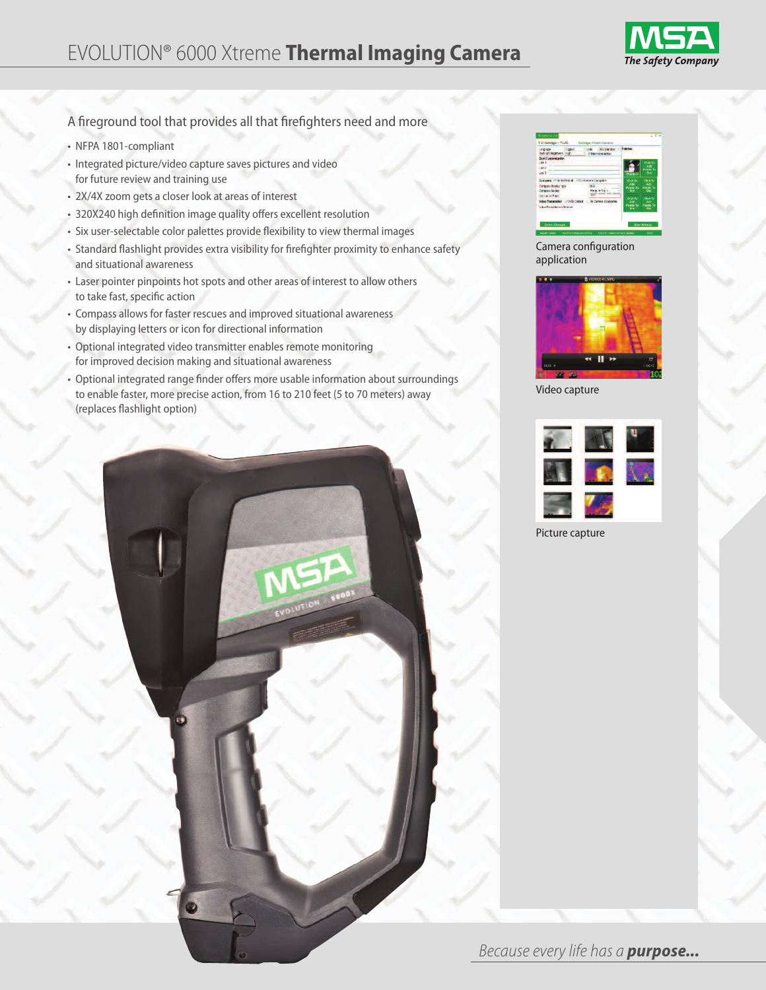## EVOLUTION® 6000 Xtreme **Thermal Imaging Camera**



A fireground tool that provides all that firefighters need and more

- NFPA 1801-compliant
- Integrated picture/video capture saves pictures and video for future review and training use
- 2X/4X zoom gets a closer look at areas of interest
- 320X240 high definition image quality offers excellent resolution
- Six user-selectable color palettes provide flexibility to view thermal images
- Standard flashlight provides extra visibility for firefighter proximity to enhance safety and situational awareness
- Laser pointer pinpoints hot spots and other areas of interest to allow others to take fast, specific action
- Compass allows for faster rescues and improved situational awareness by displaying letters or icon for directional information
- Optional integrated video transmitter enables remote monitoring for improved decision making and situational awareness
- Optional integrated range finder offers more usable information about surroundings to enable faster, more precise action, from 16 to 210 feet (5 to 70 meters) away (replaces flashlight option)



Camera configuration application



Video capture



Picture capture